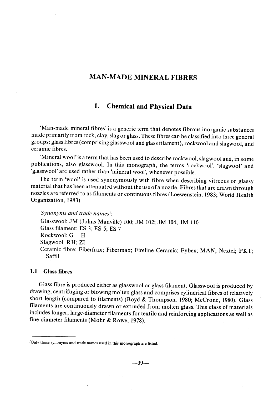# MAN-MADE MINERAL FIBRES

# 1. Chemical and Physical Data

'Man-made minerai fibres' is a generic term that denotes fibrous inorganic substances made primarily from rock, clay, slag or glass. These fibres can be classified into three general groups: glass fibres (comprising glasswool and glass filament), rockwool and slagwool, and ceramic fibres.

'Mineral wool' is a term that has been used to describe rockwool, slagwool and, in some publications, also glasswool. ln this monograph, the terms 'rockwool', 'slagwool' and 'glasswool' are used rather than 'mineraI wool', whenever possible.

The term 'wool' is used synonymously with fibre when describing vitreous or glassy material that has been attenuated without the use of a nozzle. Fibres that are dra wn through nozzles are referred to as filaments or continuous fibres (Loewenstein, 1983; W orld Health Organization, 1983).

Synonyms and trade namesl:

Glasswool: JM (Johns Manville) 100; JM 102; JM 104; JM 110 Glass filament: ES 3; ES 5; ES 7 Rockwool: G + H Slagwool: RH; ZI Ceramic fibre: Fiberfrax; Fibermax; Fireline Ceramic; Fybex; MAN; Nextel; PKT; Saffil

### 1.1 Glass fibres

Glass fibre is produced either as glasswool or glass filament. Glasswool is produced by drawing, centrifuging or blowing molten glass and comprises cylindrical fibres of relatively short length (compared to fiaments) (Boyd & Thompson, 1980; McCrone, 1980). Glass filaments are continuously drawn or extruded from molten glass. This class of materials includes longer, large-diameter filaments for textile and reinforcing applications as well as fine-diameter filaments (Mohr & Rowe, 1978).

lOnly those synonyms and trade names used in this monograph are listed.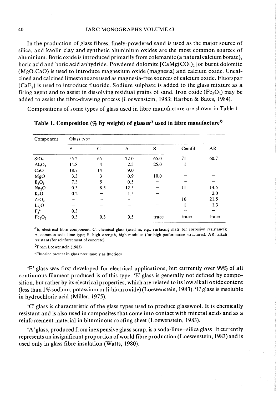#### 40 IARC MONOGRAPHS VOLUME 43

ln the production of glass fibres, finely-powdered sand is used as the major source of silica, and kaolin clay and synthetic aluminium oxides are the most common sources of aluminium. Boric oxide is introduced primarily from colemanite (a natural calcium borate), boric acid and boric acid anhydride. Powdered dolomite  $\lceil \text{CaMg(CO)}_3 \rceil$  or burnt dolomite (MgO.CaO) is used to introduce magnesium oxide (magnesia) and calcium oxide. Uncalcined and calcined limestone are used as magnesia-free sources of calcium oxide. Fluorspar  $(CaF<sub>2</sub>)$  is used to introduce fluoride. Sodium sulphate is added to the glass mixture as a firing agent and to assist in dissolving residual grains of sand. Iron oxide ( $Fe<sub>2</sub>O<sub>3</sub>$ ) may be added to assist the fibre-drawing process (Loewenstein, 1983; Harben & Bates, 1984).

Compositions of some types of glass used in fibre manufacture are shown in Table 1.

| Component                      | Glass type |     |      |       |               |       |  |  |  |  |  |
|--------------------------------|------------|-----|------|-------|---------------|-------|--|--|--|--|--|
|                                | E          | C   | A    | S     | Cemfil        | AR    |  |  |  |  |  |
| SiO <sub>2</sub>               | 55.2       | 65  | 72.0 | 65.0  | 71            | 60.7  |  |  |  |  |  |
| Al <sub>2</sub> O <sub>3</sub> | 14.8       | 4   | 2.5  | 25.0  |               |       |  |  |  |  |  |
| CaO                            | 18.7       | 14  | 9.0  |       |               |       |  |  |  |  |  |
| MgO                            | 3.3        | 3   | 0.9  | 10.0  |               |       |  |  |  |  |  |
| $B_2O_3$                       | 7.3        | 5   | 0.5  |       |               |       |  |  |  |  |  |
| Na <sub>2</sub> O              | 0.3        | 8.5 | 12.5 |       | $\mathbf{11}$ | 14.5  |  |  |  |  |  |
| $K_2O$                         | 0.2        |     | 1.5  |       |               | 2.0   |  |  |  |  |  |
| ZrO <sub>2</sub>               |            |     |      |       | 16            | 21.5  |  |  |  |  |  |
| Li <sub>2</sub> O              |            |     |      |       |               | 1.3   |  |  |  |  |  |
| $F_2^c$                        | 0.3        |     |      |       |               |       |  |  |  |  |  |
| Fe <sub>2</sub> O <sub>3</sub> | 0.3        | 0.3 | 0.5  | trace | trace         | trace |  |  |  |  |  |

Table 1. Composition (% by weight) of glasses<sup>*a*</sup> used in fibre manufacture<sup>*b*</sup>

 ${}^{\prime}E$ , electrical fibre component; C, chemical glass (used in, e.g., surfacing mats for corrosion resistance); A, common soda lime type; S, high-strength, high-modulus (for high-performance structures); AR, alkali resistant (for reinforcement of concrete)

 $b_{\text{From Loewenstein}}$  (1983)

 $c<sub>F</sub>$ luorine present in glass presumably as fluorides

'E' glass was first developed for electrical applications, but currently over 99% of aH continuous filament produced is of this type. 'E' glass is generally not defined by composition, but rather by its electrical properties, which are related to its low alkali oxide content (less than  $1\%$  sodium, potassium or lithium oxide) (Loewenstein, 1983). 'E' glass is insoluble in hydrochloric acid (Miller, 1975).

'c' glass is characteristic of the glass types used to produce glasswool. It is chemicaHy resistant and is also used in composites that come into contact with mineral acids and as a reinforcement material in bituminous roofing sheet (Loewenstein, 1983).

'A' glass, produced from inexpensive glass scrap, is a soda-lime-silica glass. It currently represents an insignificant proportion of world fibre production (Loewenstein, 1983) and is used only in glass fibre insulation (Watts, 1980).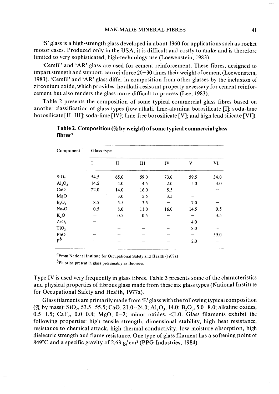'S' glass is a high-strength glass developed in about 1960 for applications such as rocket motor cases. Produced only in the USA, it is difficult and costly to make and is therefore limited to very sophisticated, high-technology use (Loewenstein, 1983).

'Cemfil' and 'AR' glass are used for cement reinforcement. These fibres, designed to impart strength and support, can reinforce 20–30 times their weight of cement (Loewenstein, 1983). 'Cemfil' and 'AR' glass differ in composition from other glasses by the inclusion of zirconium oxide, which provides the alkali-resistant property necessary for cement reinforcement but also renders the glass more difficult to process (Lee, 1983).

Table 2 presents the composition of some typical commercial glass fibres based on another classification of glass types (low alkali, lime-alumina borosilicate [I]; soda-lime borosilicate (II, III); soda-lime (IV); lime-free borosilicate (V); and high lead silicate (VI)).

| Component         | Glass type |              |      |      |      |      |  |  |  |  |
|-------------------|------------|--------------|------|------|------|------|--|--|--|--|
|                   | I          | $\mathbf{I}$ | III  | IV   | V    | VI   |  |  |  |  |
| SiO <sub>2</sub>  | 54.5       | 65.0         | 59.0 | 73.0 | 59.5 | 34.0 |  |  |  |  |
| $Al_2O_3$         | 14.5       | 4.0          | 4.5  | 2.0  | 5.0  | 3.0  |  |  |  |  |
| CaO               | 22.0       | 14.0         | 16.0 | 5.5  |      |      |  |  |  |  |
| MgO               |            | 3.0          | 5.5  | 3.5  |      |      |  |  |  |  |
| $B_2O_3$          | 8.5        | 5.5          | 3.5  |      | 7.0  |      |  |  |  |  |
| Na <sub>2</sub> O | 0.5        | 8.0          | 11.0 | 16.0 | 14.5 | 0.5  |  |  |  |  |
| $K_2O$            |            | 0.5          | 0.5  |      |      | 3.5  |  |  |  |  |
| ZrO <sub>2</sub>  |            |              |      |      | 4.0  |      |  |  |  |  |
| TiO <sub>2</sub>  |            |              |      |      | 8.0  |      |  |  |  |  |
| PbO               |            |              |      |      |      | 59.0 |  |  |  |  |
| $F^b$             |            |              |      |      | 2.0  |      |  |  |  |  |

Table 2. Composition  $(\%$  by weight) of some typical commercial glass fibres<sup> $a$ </sup>

 ${}^{a}$ From National Institute for Occupational Safety and Health (1977a)

 $<sup>b</sup>F$ luorine present in glass presumably as fluorides</sup>

Type IV is used very frequently in glass fibres. Table 3 presents some of the characteristics and physical properties of fibrous glass made from these six glass types (National Institute for Occupational Safety and Health, 1977a).

Glass filaments are primarily made from 'E' glass with the following typical composition (% by mass):  $SiO_2$ , 53.5-55.5; CaO, 21.0-24.0; Al<sub>2</sub>O<sub>3</sub>, 14.0; B<sub>2</sub>O<sub>3</sub>, 5.0-8.0; alkaline oxides, 0.5-1.5; CaF<sub>2</sub>, 0.0-0.8; MgO, 0-2; minor oxides, <1.0. Glass filaments exhibit the following properties: high tensile strength, dimensional stability, high heat resistance, resistance to chemical attack, high thermal conductivity, low moisture absorption, high dielectric strength and flame resistance. One type of glass filament has a softening point of 849 $^{\circ}$ C and a specific gravity of 2.63 g/cm<sup>3</sup> (PPG Industries, 1984).

 $\label{eq:2.1} \mathcal{L}(\mathcal{H}) = \mathcal{L}(\mathcal{H}) \mathcal{L}(\mathcal{H}) = \mathcal{L}(\mathcal{H}) \mathcal{L}(\mathcal{H}) = \mathcal{L}(\mathcal{H}) \mathcal{L}(\mathcal{H}) = \mathcal{L}(\mathcal{H}) \mathcal{L}(\mathcal{H})$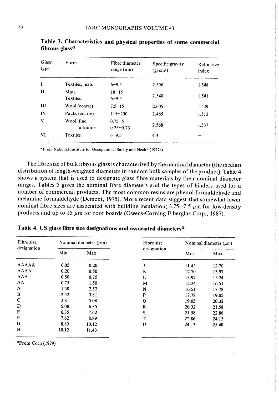| Glass<br>type | Form                    | Fibre diameter<br>range $(\mu m)$ | Specific gravity<br>$(g/cm^3)$ | Refractive<br>index |
|---------------|-------------------------|-----------------------------------|--------------------------------|---------------------|
| I             | Textiles, mats          | $6 - 9.5$                         | 2.596                          | 1.548               |
| $_{\rm II}$   | Mats<br>Textiles        | $10 - 15$<br>$6 - 9.5$            | 2.540                          | 1.541               |
| Ш             | Wool (coarse)           | $7.5 - 15$                        | 2.605                          | 1.549               |
| IV            | Packs (coarse)          | $115 - 250$                       | 2.465                          | 1.512               |
| V             | Wool, fine<br>ultrafine | $0.75 - 5$<br>$0.25 - 0.75$       | 2.568                          | 1.537               |
| VI            | Textiles                | $6 - 9.5$                         | 4.3                            |                     |

Table 3. Characteristics and physical properties of some commercial fibrous glass<sup> $a$ </sup>

GFrom National Institute for Occupational Safety and Health (1977a)

The fibre size of bulk fibrous glass is characterized by the nominal diameter (the median distribution of length-weighted diameters in random bulk samples of the product). Table 4 shows a system that is used to designate glass fibre materials by their nominal diameter ranges. Tables 5 gives the nominal fibre diameters and the types of binders used for a number of commercial products. The most common resins are phenol-formaldehyde and melamine-formaldehyde (Dement, 1975). More recent data suggest that somewhat lower nominal fibre sizes are associated with building insulation;  $3.75-7.5$   $\mu$ m for low-density products and up to 15  $\mu$ m for roof boards (Owens-Corning Fiberglas Corp., 1987).

| Fibre size<br>designation |       | Nominal diameter $(\mu m)$ | Fibre size  | Nominal diameter $(\mu m)$ |       |  |
|---------------------------|-------|----------------------------|-------------|----------------------------|-------|--|
|                           | Min   | Max                        | designation | Min                        | Max   |  |
| <b>AAAAA</b>              | 0.05  | 0.20                       | J           | 11.43                      | 12.70 |  |
| <b>AAAA</b>               | 0.20  | 0.50                       | K           | 12.70                      | 13.97 |  |
| <b>AAA</b>                | 0.50  | 0.75                       | L           | 13.97                      | 15.24 |  |
| AA                        | 0.75  | 1.50                       | M           | 15.24                      | 16.51 |  |
| A                         | 1.50  | 2.52                       | N           | 16.51                      | 17.78 |  |
| $\bf{B}$                  | 2.52  | 3.81                       | P           | 17.78                      | 19.05 |  |
| $\mathbf C$               | 3.81  | 5.08                       | Q           | 19.05                      | 20.32 |  |
| D                         | 5.08  | 6.35                       | $\mathbf R$ | 20.32                      | 21.58 |  |
| E                         | 6.35  | 7.62                       | S           | 21.58                      | 22.86 |  |
| F                         | 7.62  | 8.89                       | т           | 22.86                      | 24.13 |  |
| G                         | 8.89  | 10.12                      | U           | 24.13                      | 25.40 |  |
| H                         | 10.12 | 11.43                      |             |                            |       |  |

Table 4. US glass fibre size designations and associated diameters<sup> $a$ </sup>

 ${}^{a}$ From Corn (1979)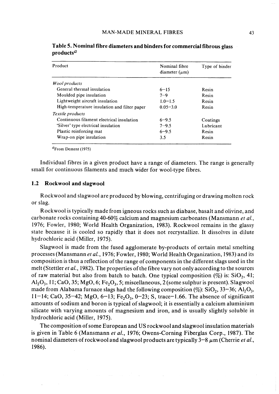| Product                                      | Nominal fibre<br>diameter $(\mu m)$ | Type of binder |
|----------------------------------------------|-------------------------------------|----------------|
| <i>Wool products</i>                         |                                     |                |
| General thermal insulation                   | $6 - 15$                            | Resin          |
| Moulded pipe insulation                      | $7 - 9$                             | Resin          |
| Lightweight aircraft insulation              | $1.0 - 1.5$                         | Resin          |
| High-temperature insulation and filter paper | $0.05 - 3.0$                        | Resin          |
| Textile products                             |                                     |                |
| Continuous filament electrical insulation    | $6 - 9.5$                           | Coatings       |
| 'Silver' type electrical insulation          | $7 - 9.5$                           | Lubricant      |
| Plastic reinforcing mat                      | $6 - 9.5$                           | Resin          |
| Wrap-on pipe insulation                      | 3.5                                 | Resin          |

Table 5. Nominal fibre diameters and binders for commercial fibrous glass products $a$ 

 ${}^{a}$ From Dement (1975)

Individual fibres in a given product have a range of diameters. The range is generally small for continuous filaments and much wider for wool-type fibres.

#### 1.2 Rockwool and slagwool

Rockwool and slagwool are produced by blowing, centrifuging or drawing molten rock or slag.

Rockwool is typically made from igneous rocks such as diabase, basalt and olivine, and carbonate rocks containing 40-60% calcium and magnesium carbonates (Mansmann et al., 1976; Fowler, 1980; World Health Organization, 1983). Rockwool remains in the glassy state because it is cooled so rapidly that it does not recrystallize. It dissolves in dilute hydrochloric acid (Miler, 1975).

Slagwool is made from the fused agglomerate by-products of certain metal smelting processes (Mansmann et al., 1976; Fowler, 1980; World Health Organization, 1983) and its composition is thus a reflection of the range of components in the different slags used in the melt (Stettler et al., 1982). The properties of the fibre vary not only according to the sources of raw material but also from batch to batch. One typical composition  $(\%)$  is: SiO<sub>2</sub>, 41;  $\text{Al}_2\text{O}_3$ , 11; CaO, 35; MgO, 6; Fe<sub>2</sub>O<sub>3</sub>, 5; miscellaneous, 2 (some sulphur is present). Slagwool made from Alabama furnace slags had the following composition  $(\%)$ : SiO<sub>2</sub>, 33-36; Al<sub>2</sub>O<sub>3</sub>, 11 - 14; CaO, 35 - 42; MgO, 6 - 13; Fe, O<sub>3</sub>, 0 - 23; S, trace - 1.66. The absence of significant amounts of sodium and boron is typical of slagwool; it is essentially a calcium aluminium silicate with varying amounts of magnesium and iron, and is usually slightly soluble in hydrochloric acid (Miler, 1975).

The composition of some European and US rockwool and slagwool insulation materials is given in Table 6 (Mansmann et al., 1976; Owens-Corning Fiberglas Corp., 1987). The nominal diameters of rockwool and slagwool products are typically  $3-8 \mu m$  (Cherrie et al., 1986).

المواصل المستقبل المستقبل المستقبل المستقبل المستقبل المستقبل المستقبل المستقبل المستقبل المستقبل المستقبل المس<br>والمستقبل المستقبل المستقبل المستقبل المستقبل المستقبل المستقبل المستقبل المستقبل المستقبل المستقبل المستقبل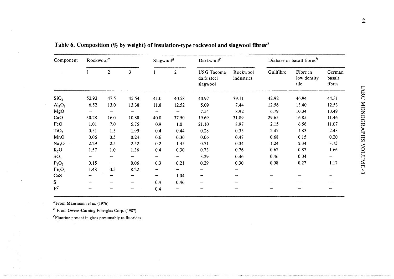| Component                      |              | Rockwool <sup>a</sup> |       |      | Slagwood <sup>a</sup> | Darkwood <sup>b</sup>                       |                        | Diabase or basalt fibres <sup>b</sup> |                                 |                            |
|--------------------------------|--------------|-----------------------|-------|------|-----------------------|---------------------------------------------|------------------------|---------------------------------------|---------------------------------|----------------------------|
|                                | $\mathbf{1}$ | $\overline{2}$        | 3     |      | $\overline{2}$        | <b>USG</b> Tacoma<br>dark steel<br>slagwool | Rockwool<br>industries | Gullfibre                             | Fibre in<br>low density<br>tile | German<br>basalt<br>fibres |
| SiO <sub>2</sub>               | 52.92        | 47.5                  | 45.54 | 41.0 | 40.58                 | 40.97                                       | 39.11                  | 42.92                                 | 46.94                           | 44.31                      |
| $Al_2O_3$                      | 6.52         | 13.0                  | 13.38 | 11.8 | 12.52                 | 5.09                                        | 7.44                   | 12.56                                 | 13.40                           | 12.53                      |
| MgO                            |              | —                     |       | ÷,   |                       | 7.54                                        | 8.92                   | 6.79                                  | 10.34                           | 10.49                      |
| CaO                            | 30.28        | 16.0                  | 10.80 | 40.0 | 37.50                 | 19.69                                       | 31.89                  | 29.65                                 | 16.85                           | 11.46                      |
| FeO                            | 1.01         | 7.0                   | 5.75  | 0.9  | 1.0                   | 21.10                                       | 8.97                   | 2.15                                  | 6.56                            | 11.07                      |
| TiO <sub>2</sub>               | 0.51         | 1.5                   | 1.99  | 0.4  | 0.44                  | 0.28                                        | 0.35                   | 2.47                                  | 1.83                            | 2.43                       |
| MnO                            | 0.06         | 0.5                   | 0.24  | 0.6  | 0.30                  | 0.06                                        | 0.47                   | 0.68                                  | 0.15                            | 0.20                       |
| Na <sub>2</sub> O              | 2.29         | 2.5                   | 2.52  | 0.2  | 1.45                  | 0.71                                        | 0.34                   | 1.24                                  | 2.34                            | 3.75                       |
| $K_2O$                         | 1.57         | 1.0                   | 1.36  | 0.4  | 0.30                  | 0.73                                        | 0.76                   | 0.67                                  | 0.87                            | 1.66                       |
| SO <sub>3</sub>                |              | --                    |       | --   |                       | 3.29                                        | 0.46                   | 0.46                                  | 0.04                            | ∽                          |
| $P_2O_5$                       | 0.15         | -                     | 0.06  | 0.3  | 0.21                  | 0.29                                        | 0.30                   | 0.08                                  | 0.27                            | 1.17                       |
| Fe <sub>2</sub> O <sub>3</sub> | 1.48         | 0.5                   | 8.22  | --   |                       |                                             |                        |                                       |                                 |                            |
| CaS                            |              |                       |       | —    | 1.04                  |                                             |                        |                                       |                                 | -                          |
| S.                             |              |                       |       | 0.4  | 0.46                  |                                             |                        |                                       |                                 |                            |
| $F^c$                          |              |                       |       | 0.4  |                       |                                             |                        |                                       |                                 | —                          |

 $c$ Fluorine present in glass presumably as fluorie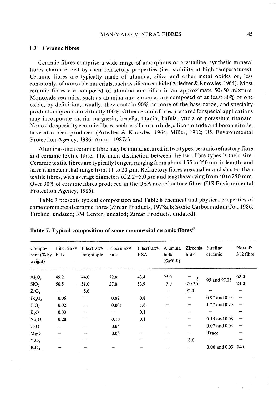## MAN-MADE MINERAL FIBRES 45

#### 1.3 Ceramic fibres

Ceramic fibres comprise a wide range of amorphous or crystallne, synthetic minerai fibres characterized by their refractory properties (i.e., stability at high temperatures). Ceramic fibres are typically made of alumina, silica and other metal oxides or, less commonly, of nonoxide materials, such as silicon carbide (Arledter  $&$  Knowles, 1964). Most ceramic fibres are composed of alumina and silica in an approximate 50/50 mixture. Monoxide ceramics, such as alumina and zirconia, are composed of at least 80% of one oxide, by definition; usually, they contain 90% or more of the base oxide, and specialty products may contain virtually 100%. Other ceramic fibres prepared for special applications may incorporate thoria, magnesia, berylia, titania, hafnia, yttria or potassium titanate. Nonoxide specialty ceramic fibres, such as silicon carbide, silicon nitride and boron nitride, have also been produced (Arledter & Knowles, 1964; Miller, 1982; US Environmental Protection Agency, 1986; Anon., 1987a).

Alumina-silica ceramic fibre may be manufactured in two types: ceramic refractory fibre and ceramic textile fibre. The main distinction between the two fibre types is their size. Ceramic textile fibres are typically longer, ranging from about 155 to 250 mm in length, and have diameters that range from 11 to 20  $\mu$ m. Refractory fibres are smaller and shorter than textile fibres, with average diameters of  $2.2-5.0 \mu m$  and lengths varying from 40 to 250 mm. Over 90% of ceramic fibres produced in the USA are refractory fibres (US Environmental Protection Agency, 1986).

Table 7 presents typical composition and Table 8 chemical and physical properties of some commercial ceramic fibres (Zircar Products, 1978a,b; Sohio Carborundum Co., 1986; Fireline, undated; 3M Center, undated; Zircar Products, undated).

| Compo-<br>nent $(\%$ by<br>weight) | Fiberfrax <sup>®</sup><br>bulk | Fiberfrax <sup>®</sup><br>long staple | Fibermax <sup>®</sup><br>bulk | Fiberfrax <sup>®</sup><br><b>HSA</b> | Alumina<br>bulk<br>$(Saffil^{\circledast})$ | Zirconia<br>bulk         | Fireline<br>ceramic | Nextel <sup>®</sup><br>312 fibre |
|------------------------------------|--------------------------------|---------------------------------------|-------------------------------|--------------------------------------|---------------------------------------------|--------------------------|---------------------|----------------------------------|
| $Al_2O_3$                          | 49.2                           | 44.0                                  | 72.0                          | 43.4                                 | 95.0                                        |                          | 95 and 97.25        | 62.0                             |
| SiO <sub>2</sub>                   | 50.5                           | 51.0                                  | 27.0                          | 53.9                                 | 5.0                                         | < 0.3                    |                     | 24.0                             |
| ZrO <sub>2</sub>                   | $\overline{\phantom{a}}$       | 5.0                                   |                               | $\overline{\phantom{0}}$             | -                                           | 92.0                     |                     |                                  |
| Fe <sub>2</sub> O <sub>3</sub>     | 0.06                           | $\overline{\phantom{m}}$              | 0.02                          | 0.8                                  |                                             | $\overline{\phantom{a}}$ | $0.97$ and $0.53$   |                                  |
| TiO <sub>2</sub>                   | 0.02                           |                                       | 0.001                         | 1.6                                  |                                             |                          | 1.27 and 0.70       |                                  |
| $K_2O$                             | 0.03                           |                                       | ÷.                            | 0.1                                  |                                             |                          |                     |                                  |
| Na <sub>2</sub> O                  | 0.20                           |                                       | 0.10                          | 0.1                                  |                                             | $\overline{\phantom{a}}$ | $0.15$ and $0.08$   |                                  |
| CaO                                |                                |                                       | 0.05                          |                                      |                                             |                          | $0.07$ and $0.04$   |                                  |
| MgO                                |                                |                                       | 0.05                          |                                      |                                             | —                        | Trace               |                                  |
| $Y_2O_3$                           |                                |                                       |                               |                                      |                                             | 8.0                      |                     |                                  |
| $B_2O_3$                           |                                |                                       |                               |                                      |                                             |                          | $0.06$ and $0.03$   | 14.0                             |

# Table 7. Typical composition of some commercial ceramic fibres<sup> $a$ </sup>